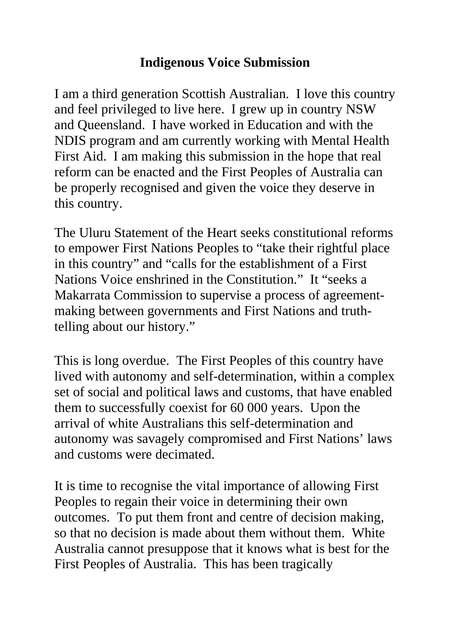## **Indigenous Voice Submission**

I am a third generation Scottish Australian. I love this country and feel privileged to live here. I grew up in country NSW and Queensland. I have worked in Education and with the NDIS program and am currently working with Mental Health First Aid. I am making this submission in the hope that real reform can be enacted and the First Peoples of Australia can be properly recognised and given the voice they deserve in this country.

The Uluru Statement of the Heart seeks constitutional reforms to empower First Nations Peoples to "take their rightful place in this country" and "calls for the establishment of a First Nations Voice enshrined in the Constitution." It "seeks a Makarrata Commission to supervise a process of agreementmaking between governments and First Nations and truthtelling about our history."

This is long overdue. The First Peoples of this country have lived with autonomy and self-determination, within a complex set of social and political laws and customs, that have enabled them to successfully coexist for 60 000 years. Upon the arrival of white Australians this self-determination and autonomy was savagely compromised and First Nations' laws and customs were decimated.

It is time to recognise the vital importance of allowing First Peoples to regain their voice in determining their own outcomes. To put them front and centre of decision making, so that no decision is made about them without them. White Australia cannot presuppose that it knows what is best for the First Peoples of Australia. This has been tragically